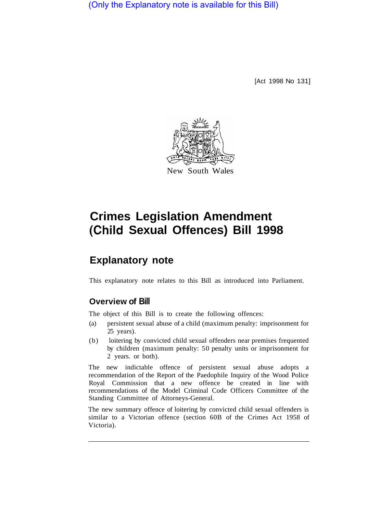(Only the Explanatory note is available for this Bill)

[Act 1998 No 131]



# **Crimes Legislation Amendment (Child Sexual Offences) Bill 1998**

# **Explanatory note**

This explanatory note relates to this Bill as introduced into Parliament.

## **Overview of Bill**

The object of this Bill is to create the following offences:

- (a) persistent sexual abuse of a child (maximum penalty: imprisonment for 25 years).
- (b) loitering by convicted child sexual offenders near premises frequented by children (maximum penalty: 50 penalty units or imprisonment for 2 years. or both).

The new indictable offence of persistent sexual abuse adopts a recommendation of the Report of the Paedophile Inquiry of the Wood Police Royal Commission that a new offence be created in line with recommendations of the Model Criminal Code Officers Committee of the Standing Committee of Attorneys-General.

The new summary offence of loitering by convicted child sexual offenders is similar to a Victorian offence (section 60B of the Crimes Act 1958 of Victoria).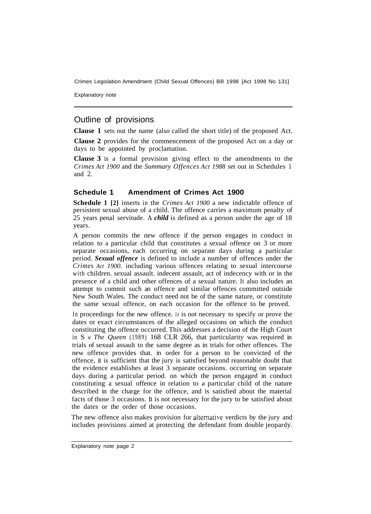Crimes Legislation Amendment (Child Sexual Offences) Bill 1998 [Act 1998 No 131]

Explanatory note

### Outline of provisions

**Clause 1** sets out the name (also called the short title) of the proposed Act.

**Clause 2** provides for the commencement of the proposed Act on a day or days to be appointed by proclamation.

**Clause 3** is a formal provision giving effect to the amendments to the *Crimes Act 1900* and the *Summary Offences Act 1988* set out in Schedules 1 and 2.

#### **Schedule 1 Amendment of Crimes Act 1900**

**Schedule 1 [2]** inserts in the *Crimes Act 1900* a new indictable offence of persistent sexual abuse of a child. The offence carries a maximum penalty of 25 years penal servitude. A *child* is defined as a person under the age of 18 years.

A person commits the new offence if the person engages in conduct in relation to a particular child that constitutes a sexual offence on 3 or more separate occasions, each occurring on separate days during a particular period. *Sexual offence* is defined to include a number of offences under the *Crimes Act 1900.* including various offences relating to sexual intercourse with children. sexual assault. indecent assault, act of indecency with or in the presence of a child and other offences of a sexual nature. It also includes an attempt to commit such an offence and similar offences committed outside New South Wales. The conduct need not be of the same nature, or constitute the same sexual offence, on each occasion for the offence to be proved.

In proceedings for the new offence. it is not necessary to specify or prove the dates or exact circumstances of the alleged occasions on which the conduct constituting the offence occurred. This addresses a decision of the High Court in S v *The Queen* (1989) 168 CLR 266, that particularity was required in trials of sexual assault to the same degree as in trials for other offences. The new offence provides that. in order for a person to be convicted of the offence, it is sufficient that the jury is satisfied beyond reasonable doubt that the evidence establishes at least 3 separate occasions. occurring on separate days during a particular period. on which the person engaged in conduct constituting a sexual offence in relation to a particular child of the nature described in the charge for the offence, and is satisfied about the material facts of those 3 occasions. It is not necessary for the jury to be satisfied about the dates or the order of those occasions.

The new offence also makes provision for alternative verdicts by the jury and includes provisions aimed at protecting the defendant from double jeopardy.